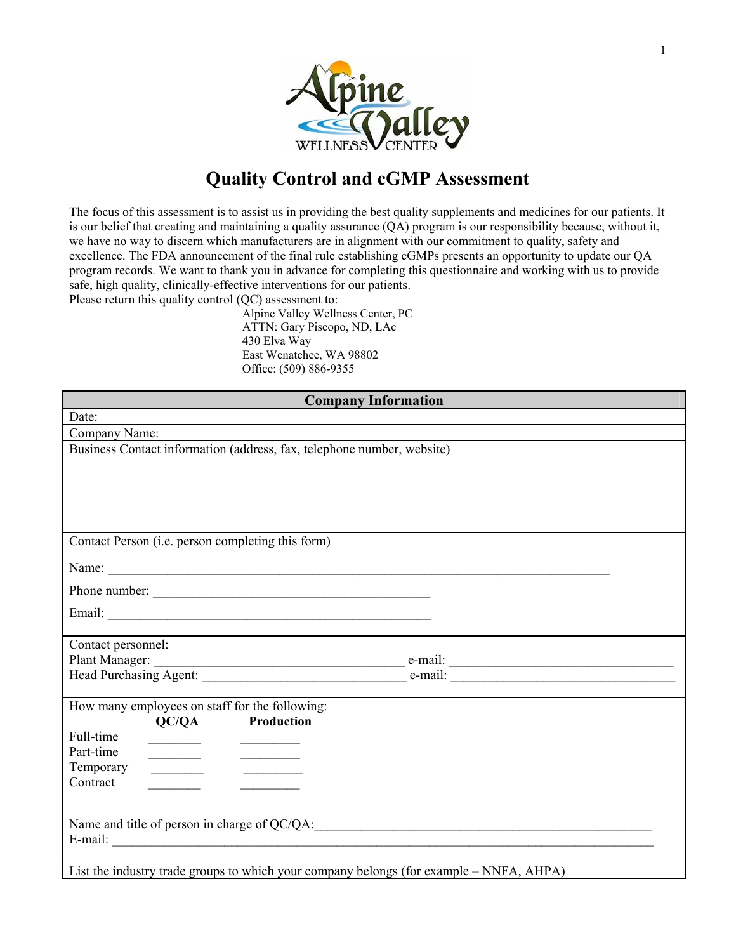

## **Quality Control and cGMP Assessment**

The focus of this assessment is to assist us in providing the best quality supplements and medicines for our patients. It is our belief that creating and maintaining a quality assurance (QA) program is our responsibility because, without it, we have no way to discern which manufacturers are in alignment with our commitment to quality, safety and excellence. The FDA announcement of the final rule establishing cGMPs presents an opportunity to update our QA program records. We want to thank you in advance for completing this questionnaire and working with us to provide safe, high quality, clinically-effective interventions for our patients.

Please return this quality control (QC) assessment to:

Alpine Valley Wellness Center, PC ATTN: Gary Piscopo, ND, LAc 430 Elva Way East Wenatchee, WA 98802 Office: (509) 886-9355

| <b>Company Information</b>                                                                                                                                                                                                                        |                                                                                         |  |
|---------------------------------------------------------------------------------------------------------------------------------------------------------------------------------------------------------------------------------------------------|-----------------------------------------------------------------------------------------|--|
| Date:                                                                                                                                                                                                                                             |                                                                                         |  |
| Company Name:                                                                                                                                                                                                                                     |                                                                                         |  |
|                                                                                                                                                                                                                                                   | Business Contact information (address, fax, telephone number, website)                  |  |
|                                                                                                                                                                                                                                                   |                                                                                         |  |
|                                                                                                                                                                                                                                                   |                                                                                         |  |
|                                                                                                                                                                                                                                                   |                                                                                         |  |
|                                                                                                                                                                                                                                                   |                                                                                         |  |
| Contact Person (i.e. person completing this form)                                                                                                                                                                                                 |                                                                                         |  |
|                                                                                                                                                                                                                                                   | Name:                                                                                   |  |
|                                                                                                                                                                                                                                                   | Phone number:                                                                           |  |
|                                                                                                                                                                                                                                                   |                                                                                         |  |
|                                                                                                                                                                                                                                                   |                                                                                         |  |
| Contact personnel:                                                                                                                                                                                                                                |                                                                                         |  |
|                                                                                                                                                                                                                                                   |                                                                                         |  |
|                                                                                                                                                                                                                                                   |                                                                                         |  |
| How many employees on staff for the following:                                                                                                                                                                                                    |                                                                                         |  |
| OC/OA                                                                                                                                                                                                                                             | Production                                                                              |  |
| Full-time                                                                                                                                                                                                                                         |                                                                                         |  |
| Part-time<br><u> The Communication of the Communication of the Communication of the Communication of the Communication of the Communication of the Communication of the Communication of the Communication of the Communication of the Commun</u> | the contract of the contract of the contract of the                                     |  |
| Temporary<br>Contract                                                                                                                                                                                                                             | <u> 1989 - John Stone, Amerikaansk kon</u>                                              |  |
|                                                                                                                                                                                                                                                   |                                                                                         |  |
|                                                                                                                                                                                                                                                   |                                                                                         |  |
|                                                                                                                                                                                                                                                   | E-mail:                                                                                 |  |
|                                                                                                                                                                                                                                                   |                                                                                         |  |
|                                                                                                                                                                                                                                                   | List the industry trade groups to which your company belongs (for example – NNFA, AHPA) |  |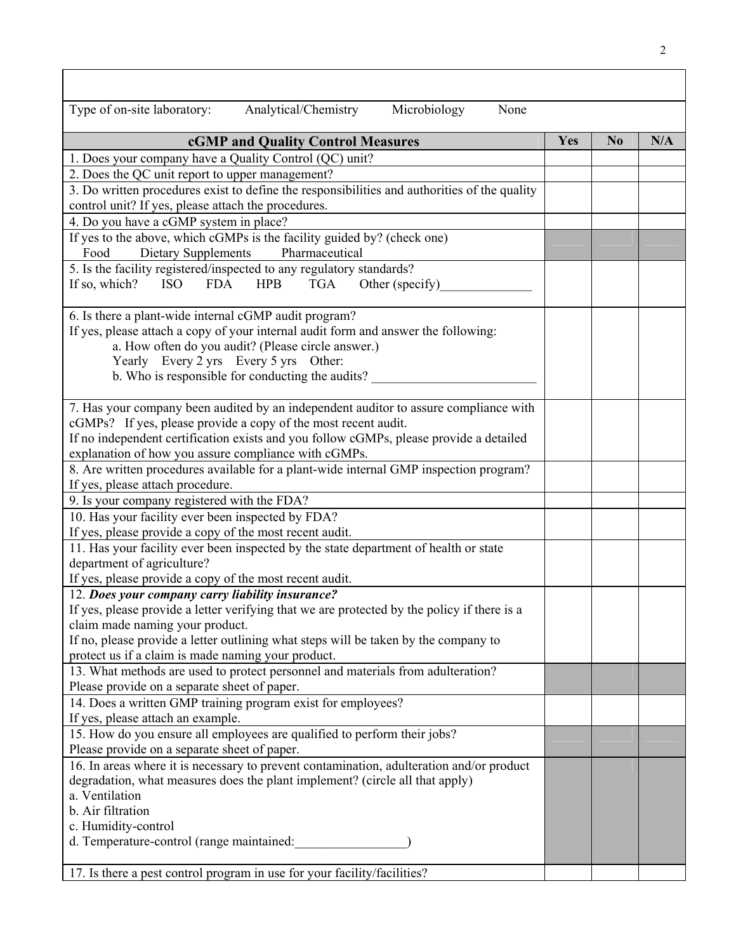| Type of on-site laboratory:<br>Analytical/Chemistry<br>Microbiology<br>None                                   |     |                |     |
|---------------------------------------------------------------------------------------------------------------|-----|----------------|-----|
| cGMP and Quality Control Measures                                                                             | Yes | N <sub>0</sub> | N/A |
| 1. Does your company have a Quality Control (QC) unit?                                                        |     |                |     |
| 2. Does the QC unit report to upper management?                                                               |     |                |     |
| 3. Do written procedures exist to define the responsibilities and authorities of the quality                  |     |                |     |
| control unit? If yes, please attach the procedures.                                                           |     |                |     |
| 4. Do you have a cGMP system in place?                                                                        |     |                |     |
| If yes to the above, which cGMPs is the facility guided by? (check one)                                       |     |                |     |
| <b>Dietary Supplements</b><br>Food<br>Pharmaceutical                                                          |     |                |     |
| 5. Is the facility registered/inspected to any regulatory standards?                                          |     |                |     |
| If so, which?<br><b>FDA</b><br><b>HPB</b><br><b>TGA</b><br>Other (specify)<br><b>ISO</b>                      |     |                |     |
|                                                                                                               |     |                |     |
| 6. Is there a plant-wide internal cGMP audit program?                                                         |     |                |     |
| If yes, please attach a copy of your internal audit form and answer the following:                            |     |                |     |
| a. How often do you audit? (Please circle answer.)                                                            |     |                |     |
| Yearly Every 2 yrs Every 5 yrs Other:                                                                         |     |                |     |
| b. Who is responsible for conducting the audits?                                                              |     |                |     |
| 7. Has your company been audited by an independent auditor to assure compliance with                          |     |                |     |
| cGMPs? If yes, please provide a copy of the most recent audit.                                                |     |                |     |
| If no independent certification exists and you follow cGMPs, please provide a detailed                        |     |                |     |
| explanation of how you assure compliance with cGMPs.                                                          |     |                |     |
| 8. Are written procedures available for a plant-wide internal GMP inspection program?                         |     |                |     |
| If yes, please attach procedure.                                                                              |     |                |     |
| 9. Is your company registered with the FDA?                                                                   |     |                |     |
| 10. Has your facility ever been inspected by FDA?                                                             |     |                |     |
| If yes, please provide a copy of the most recent audit.                                                       |     |                |     |
| 11. Has your facility ever been inspected by the state department of health or state                          |     |                |     |
| department of agriculture?                                                                                    |     |                |     |
| If yes, please provide a copy of the most recent audit.                                                       |     |                |     |
| 12. Does your company carry liability insurance?                                                              |     |                |     |
| If yes, please provide a letter verifying that we are protected by the policy if there is a                   |     |                |     |
| claim made naming your product.                                                                               |     |                |     |
| If no, please provide a letter outlining what steps will be taken by the company to                           |     |                |     |
| protect us if a claim is made naming your product.                                                            |     |                |     |
| 13. What methods are used to protect personnel and materials from adulteration?                               |     |                |     |
| Please provide on a separate sheet of paper.                                                                  |     |                |     |
| 14. Does a written GMP training program exist for employees?                                                  |     |                |     |
| If yes, please attach an example.<br>15. How do you ensure all employees are qualified to perform their jobs? |     |                |     |
| Please provide on a separate sheet of paper.                                                                  |     |                |     |
| 16. In areas where it is necessary to prevent contamination, adulteration and/or product                      |     |                |     |
| degradation, what measures does the plant implement? (circle all that apply)                                  |     |                |     |
| a. Ventilation                                                                                                |     |                |     |
| b. Air filtration                                                                                             |     |                |     |
| c. Humidity-control                                                                                           |     |                |     |
| d. Temperature-control (range maintained:                                                                     |     |                |     |
|                                                                                                               |     |                |     |
| 17. Is there a pest control program in use for your facility/facilities?                                      |     |                |     |

 $\overline{1}$ 

٦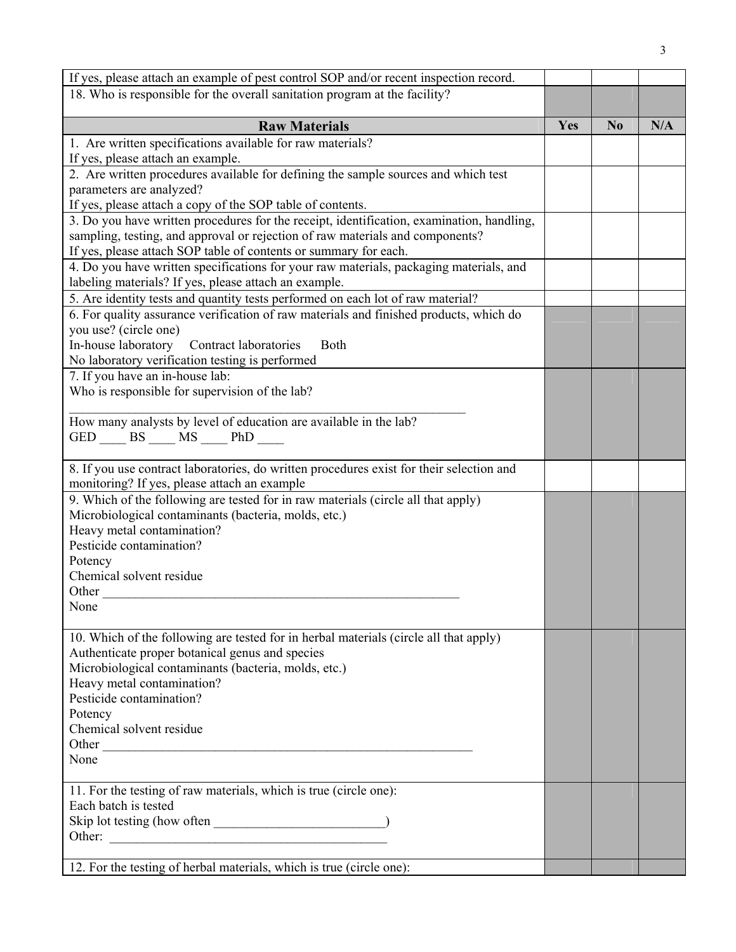| If yes, please attach an example of pest control SOP and/or recent inspection record.     |     |                |     |
|-------------------------------------------------------------------------------------------|-----|----------------|-----|
| 18. Who is responsible for the overall sanitation program at the facility?                |     |                |     |
|                                                                                           |     |                |     |
| <b>Raw Materials</b>                                                                      | Yes | N <sub>0</sub> | N/A |
| 1. Are written specifications available for raw materials?                                |     |                |     |
| If yes, please attach an example.                                                         |     |                |     |
| 2. Are written procedures available for defining the sample sources and which test        |     |                |     |
| parameters are analyzed?                                                                  |     |                |     |
| If yes, please attach a copy of the SOP table of contents.                                |     |                |     |
| 3. Do you have written procedures for the receipt, identification, examination, handling, |     |                |     |
| sampling, testing, and approval or rejection of raw materials and components?             |     |                |     |
| If yes, please attach SOP table of contents or summary for each.                          |     |                |     |
| 4. Do you have written specifications for your raw materials, packaging materials, and    |     |                |     |
| labeling materials? If yes, please attach an example.                                     |     |                |     |
| 5. Are identity tests and quantity tests performed on each lot of raw material?           |     |                |     |
| 6. For quality assurance verification of raw materials and finished products, which do    |     |                |     |
| you use? (circle one)                                                                     |     |                |     |
| In-house laboratory Contract laboratories<br><b>Both</b>                                  |     |                |     |
| No laboratory verification testing is performed                                           |     |                |     |
| 7. If you have an in-house lab:                                                           |     |                |     |
| Who is responsible for supervision of the lab?                                            |     |                |     |
| How many analysts by level of education are available in the lab?                         |     |                |     |
|                                                                                           |     |                |     |
| $GED$ BS ___ MS ___ PhD ___                                                               |     |                |     |
| 8. If you use contract laboratories, do written procedures exist for their selection and  |     |                |     |
| monitoring? If yes, please attach an example                                              |     |                |     |
| 9. Which of the following are tested for in raw materials (circle all that apply)         |     |                |     |
| Microbiological contaminants (bacteria, molds, etc.)                                      |     |                |     |
| Heavy metal contamination?                                                                |     |                |     |
| Pesticide contamination?                                                                  |     |                |     |
| Potency                                                                                   |     |                |     |
| Chemical solvent residue                                                                  |     |                |     |
| Other $\_$                                                                                |     |                |     |
| None                                                                                      |     |                |     |
|                                                                                           |     |                |     |
| 10. Which of the following are tested for in herbal materials (circle all that apply)     |     |                |     |
| Authenticate proper botanical genus and species                                           |     |                |     |
| Microbiological contaminants (bacteria, molds, etc.)                                      |     |                |     |
| Heavy metal contamination?                                                                |     |                |     |
| Pesticide contamination?                                                                  |     |                |     |
| Potency                                                                                   |     |                |     |
| Chemical solvent residue                                                                  |     |                |     |
|                                                                                           |     |                |     |
| None                                                                                      |     |                |     |
| 11. For the testing of raw materials, which is true (circle one):                         |     |                |     |
| Each batch is tested                                                                      |     |                |     |
|                                                                                           |     |                |     |
| Other:                                                                                    |     |                |     |
|                                                                                           |     |                |     |
| 12. For the testing of herbal materials, which is true (circle one):                      |     |                |     |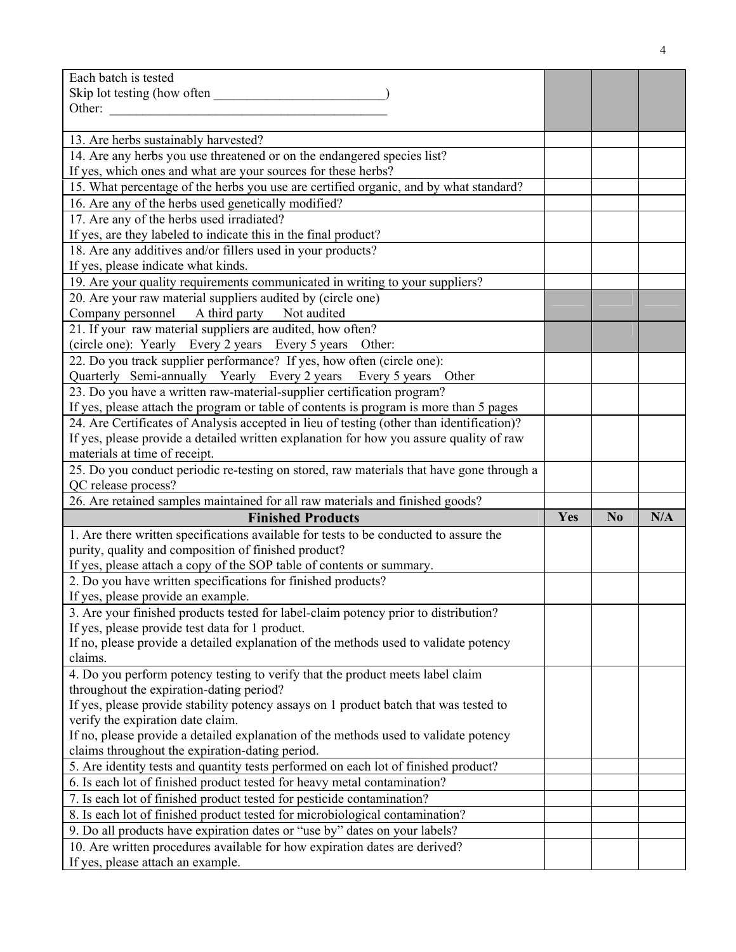| Each batch is tested                                                                                                       |     |                |     |
|----------------------------------------------------------------------------------------------------------------------------|-----|----------------|-----|
|                                                                                                                            |     |                |     |
| Other:                                                                                                                     |     |                |     |
| 13. Are herbs sustainably harvested?                                                                                       |     |                |     |
| 14. Are any herbs you use threatened or on the endangered species list?                                                    |     |                |     |
| If yes, which ones and what are your sources for these herbs?                                                              |     |                |     |
| 15. What percentage of the herbs you use are certified organic, and by what standard?                                      |     |                |     |
| 16. Are any of the herbs used genetically modified?                                                                        |     |                |     |
| 17. Are any of the herbs used irradiated?                                                                                  |     |                |     |
| If yes, are they labeled to indicate this in the final product?                                                            |     |                |     |
| 18. Are any additives and/or fillers used in your products?                                                                |     |                |     |
| If yes, please indicate what kinds.                                                                                        |     |                |     |
| 19. Are your quality requirements communicated in writing to your suppliers?                                               |     |                |     |
| 20. Are your raw material suppliers audited by (circle one)                                                                |     |                |     |
| Company personnel A third party<br>Not audited                                                                             |     |                |     |
| 21. If your raw material suppliers are audited, how often?                                                                 |     |                |     |
| (circle one): Yearly Every 2 years Every 5 years Other:                                                                    |     |                |     |
| 22. Do you track supplier performance? If yes, how often (circle one):                                                     |     |                |     |
| Quarterly Semi-annually Yearly Every 2 years Every 5 years Other                                                           |     |                |     |
| 23. Do you have a written raw-material-supplier certification program?                                                     |     |                |     |
| If yes, please attach the program or table of contents is program is more than 5 pages                                     |     |                |     |
| 24. Are Certificates of Analysis accepted in lieu of testing (other than identification)?                                  |     |                |     |
| If yes, please provide a detailed written explanation for how you assure quality of raw                                    |     |                |     |
| materials at time of receipt.                                                                                              |     |                |     |
| 25. Do you conduct periodic re-testing on stored, raw materials that have gone through a                                   |     |                |     |
|                                                                                                                            |     |                |     |
| QC release process?                                                                                                        |     |                |     |
| 26. Are retained samples maintained for all raw materials and finished goods?                                              |     |                |     |
| <b>Finished Products</b>                                                                                                   | Yes | N <sub>0</sub> | N/A |
| 1. Are there written specifications available for tests to be conducted to assure the                                      |     |                |     |
| purity, quality and composition of finished product?                                                                       |     |                |     |
| If yes, please attach a copy of the SOP table of contents or summary.                                                      |     |                |     |
| 2. Do you have written specifications for finished products?                                                               |     |                |     |
| If yes, please provide an example.                                                                                         |     |                |     |
| 3. Are your finished products tested for label-claim potency prior to distribution?                                        |     |                |     |
| If yes, please provide test data for 1 product.                                                                            |     |                |     |
| If no, please provide a detailed explanation of the methods used to validate potency                                       |     |                |     |
| claims.                                                                                                                    |     |                |     |
| 4. Do you perform potency testing to verify that the product meets label claim<br>throughout the expiration-dating period? |     |                |     |
| If yes, please provide stability potency assays on 1 product batch that was tested to                                      |     |                |     |
| verify the expiration date claim.                                                                                          |     |                |     |
| If no, please provide a detailed explanation of the methods used to validate potency                                       |     |                |     |
| claims throughout the expiration-dating period.                                                                            |     |                |     |
| 5. Are identity tests and quantity tests performed on each lot of finished product?                                        |     |                |     |
| 6. Is each lot of finished product tested for heavy metal contamination?                                                   |     |                |     |
| 7. Is each lot of finished product tested for pesticide contamination?                                                     |     |                |     |
| 8. Is each lot of finished product tested for microbiological contamination?                                               |     |                |     |
| 9. Do all products have expiration dates or "use by" dates on your labels?                                                 |     |                |     |
| 10. Are written procedures available for how expiration dates are derived?<br>If yes, please attach an example.            |     |                |     |

4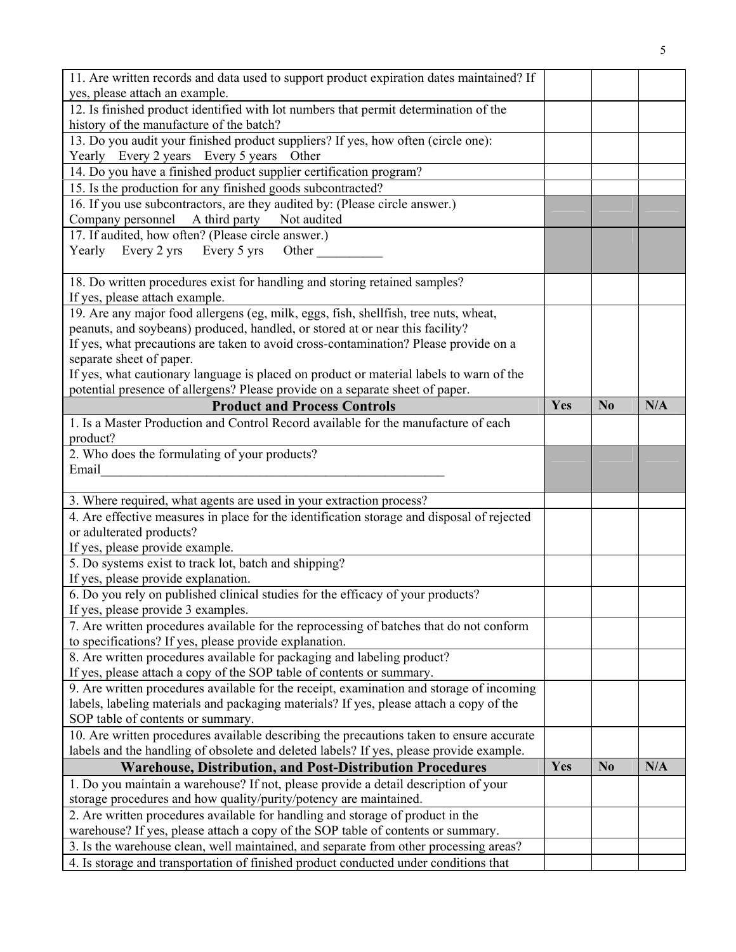| 11. Are written records and data used to support product expiration dates maintained? If<br>yes, please attach an example.    |     |                |     |
|-------------------------------------------------------------------------------------------------------------------------------|-----|----------------|-----|
| 12. Is finished product identified with lot numbers that permit determination of the                                          |     |                |     |
| history of the manufacture of the batch?                                                                                      |     |                |     |
|                                                                                                                               |     |                |     |
| 13. Do you audit your finished product suppliers? If yes, how often (circle one):<br>Yearly Every 2 years Every 5 years Other |     |                |     |
| 14. Do you have a finished product supplier certification program?                                                            |     |                |     |
|                                                                                                                               |     |                |     |
| 15. Is the production for any finished goods subcontracted?                                                                   |     |                |     |
| 16. If you use subcontractors, are they audited by: (Please circle answer.)                                                   |     |                |     |
| Company personnel A third party<br>Not audited                                                                                |     |                |     |
| 17. If audited, how often? (Please circle answer.)                                                                            |     |                |     |
| Yearly Every 2 yrs Every 5 yrs Other                                                                                          |     |                |     |
| 18. Do written procedures exist for handling and storing retained samples?                                                    |     |                |     |
| If yes, please attach example.                                                                                                |     |                |     |
| 19. Are any major food allergens (eg, milk, eggs, fish, shellfish, tree nuts, wheat,                                          |     |                |     |
| peanuts, and soybeans) produced, handled, or stored at or near this facility?                                                 |     |                |     |
| If yes, what precautions are taken to avoid cross-contamination? Please provide on a                                          |     |                |     |
| separate sheet of paper.                                                                                                      |     |                |     |
| If yes, what cautionary language is placed on product or material labels to warn of the                                       |     |                |     |
| potential presence of allergens? Please provide on a separate sheet of paper.                                                 |     |                |     |
| <b>Product and Process Controls</b>                                                                                           | Yes | N <sub>0</sub> | N/A |
| 1. Is a Master Production and Control Record available for the manufacture of each                                            |     |                |     |
| product?                                                                                                                      |     |                |     |
| 2. Who does the formulating of your products?                                                                                 |     |                |     |
| Email                                                                                                                         |     |                |     |
|                                                                                                                               |     |                |     |
| 3. Where required, what agents are used in your extraction process?                                                           |     |                |     |
| 4. Are effective measures in place for the identification storage and disposal of rejected                                    |     |                |     |
| or adulterated products?                                                                                                      |     |                |     |
| If yes, please provide example.                                                                                               |     |                |     |
| 5. Do systems exist to track lot, batch and shipping?                                                                         |     |                |     |
| If yes, please provide explanation.                                                                                           |     |                |     |
| 6. Do you rely on published clinical studies for the efficacy of your products?                                               |     |                |     |
| If yes, please provide 3 examples.                                                                                            |     |                |     |
| 7. Are written procedures available for the reprocessing of batches that do not conform                                       |     |                |     |
| to specifications? If yes, please provide explanation.                                                                        |     |                |     |
| 8. Are written procedures available for packaging and labeling product?                                                       |     |                |     |
| If yes, please attach a copy of the SOP table of contents or summary.                                                         |     |                |     |
| 9. Are written procedures available for the receipt, examination and storage of incoming                                      |     |                |     |
| labels, labeling materials and packaging materials? If yes, please attach a copy of the                                       |     |                |     |
| SOP table of contents or summary.                                                                                             |     |                |     |
| 10. Are written procedures available describing the precautions taken to ensure accurate                                      |     |                |     |
| labels and the handling of obsolete and deleted labels? If yes, please provide example.                                       |     |                |     |
| <b>Warehouse, Distribution, and Post-Distribution Procedures</b>                                                              |     | N <sub>0</sub> | N/A |
| 1. Do you maintain a warehouse? If not, please provide a detail description of your                                           |     |                |     |
| storage procedures and how quality/purity/potency are maintained.                                                             |     |                |     |
| 2. Are written procedures available for handling and storage of product in the                                                |     |                |     |
| warehouse? If yes, please attach a copy of the SOP table of contents or summary.                                              |     |                |     |
| 3. Is the warehouse clean, well maintained, and separate from other processing areas?                                         |     |                |     |
| 4. Is storage and transportation of finished product conducted under conditions that                                          |     |                |     |